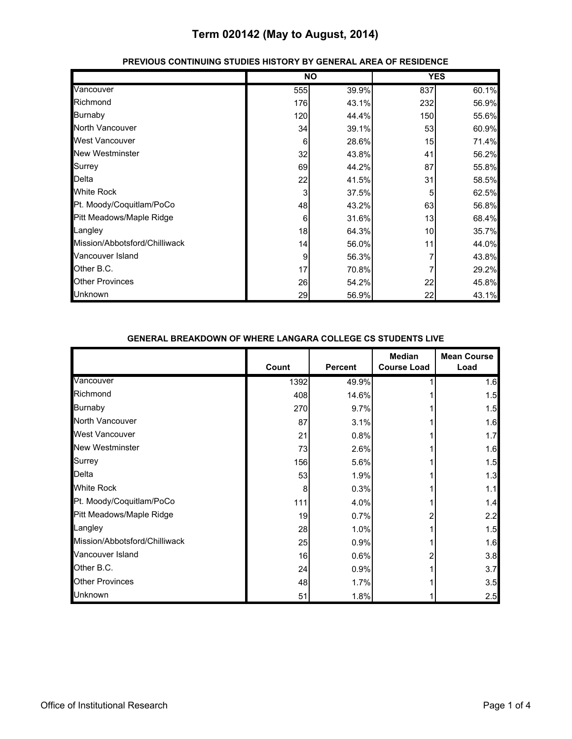|                               |     | <b>NO</b> |     | <b>YES</b> |
|-------------------------------|-----|-----------|-----|------------|
| Vancouver                     | 555 | 39.9%     | 837 | 60.1%      |
| Richmond                      | 176 | 43.1%     | 232 | 56.9%      |
| <b>Burnaby</b>                | 120 | 44.4%     | 150 | 55.6%      |
| North Vancouver               | 34  | 39.1%     | 53  | 60.9%      |
| <b>West Vancouver</b>         | 6   | 28.6%     | 15  | 71.4%      |
| <b>New Westminster</b>        | 32  | 43.8%     | 41  | 56.2%      |
| Surrey                        | 69  | 44.2%     | 87  | 55.8%      |
| <b>Delta</b>                  | 22  | 41.5%     | 31  | 58.5%      |
| <b>White Rock</b>             | 3   | 37.5%     | 5   | 62.5%      |
| Pt. Moody/Coquitlam/PoCo      | 48  | 43.2%     | 63  | 56.8%      |
| Pitt Meadows/Maple Ridge      | 6   | 31.6%     | 13  | 68.4%      |
| Langley                       | 18  | 64.3%     | 10  | 35.7%      |
| Mission/Abbotsford/Chilliwack | 14  | 56.0%     | 11  | 44.0%      |
| Vancouver Island              | 9   | 56.3%     |     | 43.8%      |
| Other B.C.                    | 17  | 70.8%     |     | 29.2%      |
| <b>Other Provinces</b>        | 26  | 54.2%     | 22  | 45.8%      |
| <b>Unknown</b>                | 29  | 56.9%     | 22  | 43.1%      |

#### **PREVIOUS CONTINUING STUDIES HISTORY BY GENERAL AREA OF RESIDENCE**

#### **GENERAL BREAKDOWN OF WHERE LANGARA COLLEGE CS STUDENTS LIVE**

|                               | Count | <b>Percent</b> | <b>Median</b><br><b>Course Load</b> | <b>Mean Course</b><br>Load |
|-------------------------------|-------|----------------|-------------------------------------|----------------------------|
| Vancouver                     | 1392  | 49.9%          |                                     | 1.6                        |
| Richmond                      | 408   | 14.6%          |                                     | 1.5                        |
| Burnaby                       | 270   | 9.7%           |                                     | 1.5                        |
| North Vancouver               | 87    | 3.1%           |                                     | 1.6                        |
| <b>West Vancouver</b>         | 21    | 0.8%           |                                     | 1.7                        |
| <b>New Westminster</b>        | 73    | 2.6%           |                                     | 1.6                        |
| Surrey                        | 156   | 5.6%           |                                     | 1.5                        |
| Delta                         | 53    | 1.9%           |                                     | 1.3                        |
| <b>White Rock</b>             | 8     | 0.3%           |                                     | 1.1                        |
| Pt. Moody/Coquitlam/PoCo      | 111   | 4.0%           |                                     | 1.4                        |
| Pitt Meadows/Maple Ridge      | 19    | 0.7%           |                                     | 2.2                        |
| Langley                       | 28    | 1.0%           |                                     | 1.5                        |
| Mission/Abbotsford/Chilliwack | 25    | 0.9%           |                                     | 1.6                        |
| Vancouver Island              | 16    | 0.6%           |                                     | 3.8                        |
| Other B.C.                    | 24    | 0.9%           |                                     | 3.7                        |
| <b>Other Provinces</b>        | 48    | 1.7%           |                                     | 3.5                        |
| Unknown                       | 51    | 1.8%           |                                     | 2.5                        |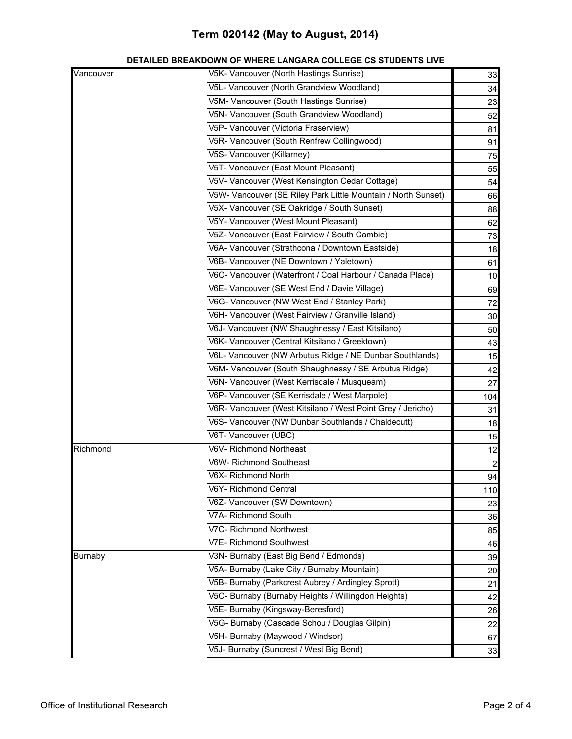| Vancouver      | V5K- Vancouver (North Hastings Sunrise)                       | 33             |
|----------------|---------------------------------------------------------------|----------------|
|                | V5L- Vancouver (North Grandview Woodland)                     | 34             |
|                | V5M- Vancouver (South Hastings Sunrise)                       | 23             |
|                | V5N- Vancouver (South Grandview Woodland)                     | 52             |
|                | V5P- Vancouver (Victoria Fraserview)                          | 81             |
|                | V5R- Vancouver (South Renfrew Collingwood)                    | 91             |
|                | V5S- Vancouver (Killarney)                                    | 75             |
|                | V5T- Vancouver (East Mount Pleasant)                          | 55             |
|                | V5V- Vancouver (West Kensington Cedar Cottage)                | 54             |
|                | V5W- Vancouver (SE Riley Park Little Mountain / North Sunset) | 66             |
|                | V5X- Vancouver (SE Oakridge / South Sunset)                   | 88             |
|                | V5Y- Vancouver (West Mount Pleasant)                          | 62             |
|                | V5Z- Vancouver (East Fairview / South Cambie)                 | 73             |
|                | V6A- Vancouver (Strathcona / Downtown Eastside)               | 18             |
|                | V6B- Vancouver (NE Downtown / Yaletown)                       | 61             |
|                | V6C- Vancouver (Waterfront / Coal Harbour / Canada Place)     | 10             |
|                | V6E- Vancouver (SE West End / Davie Village)                  | 69             |
|                | V6G- Vancouver (NW West End / Stanley Park)                   | 72             |
|                | V6H- Vancouver (West Fairview / Granville Island)             | 30             |
|                | V6J- Vancouver (NW Shaughnessy / East Kitsilano)              | 50             |
|                | V6K- Vancouver (Central Kitsilano / Greektown)                | 43             |
|                | V6L- Vancouver (NW Arbutus Ridge / NE Dunbar Southlands)      | 15             |
|                | V6M- Vancouver (South Shaughnessy / SE Arbutus Ridge)         | 42             |
|                | V6N- Vancouver (West Kerrisdale / Musqueam)                   | 27             |
|                | V6P- Vancouver (SE Kerrisdale / West Marpole)                 | 104            |
|                | V6R- Vancouver (West Kitsilano / West Point Grey / Jericho)   | 31             |
|                | V6S- Vancouver (NW Dunbar Southlands / Chaldecutt)            | 18             |
|                | V6T- Vancouver (UBC)                                          | 15             |
| Richmond       | V6V- Richmond Northeast                                       | 12             |
|                | V6W- Richmond Southeast                                       | $\overline{a}$ |
|                | V6X- Richmond North                                           | 94             |
|                | V6Y- Richmond Central                                         | 110            |
|                | V6Z- Vancouver (SW Downtown)                                  | 23             |
|                | V7A- Richmond South                                           | 36             |
|                | V7C- Richmond Northwest                                       | 85             |
|                | V7E- Richmond Southwest                                       | 46             |
| <b>Burnaby</b> | V3N- Burnaby (East Big Bend / Edmonds)                        | 39             |
|                | V5A- Burnaby (Lake City / Burnaby Mountain)                   | 20             |
|                | V5B- Burnaby (Parkcrest Aubrey / Ardingley Sprott)            | 21             |
|                | V5C- Burnaby (Burnaby Heights / Willingdon Heights)           | 42             |
|                | V5E- Burnaby (Kingsway-Beresford)                             | 26             |
|                | V5G- Burnaby (Cascade Schou / Douglas Gilpin)                 | 22             |
|                | V5H- Burnaby (Maywood / Windsor)                              | 67             |
|                | V5J- Burnaby (Suncrest / West Big Bend)                       | 33             |
|                |                                                               |                |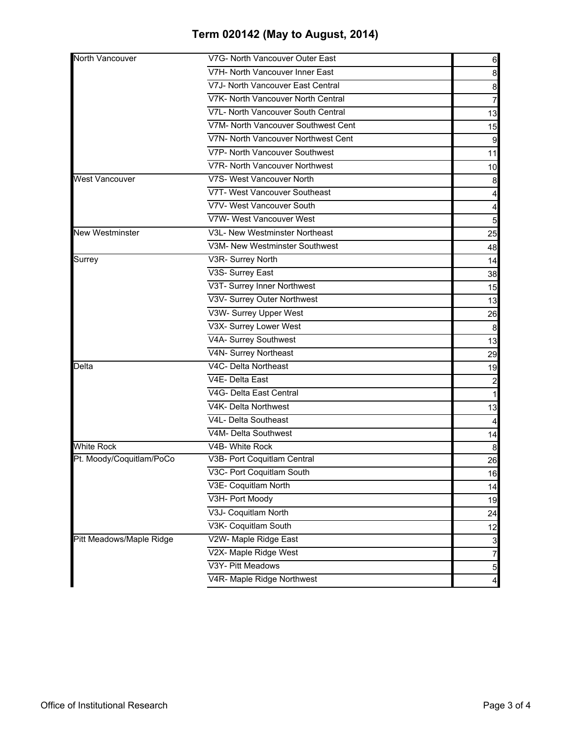| North Vancouver          | V7G- North Vancouver Outer East     | 6                |
|--------------------------|-------------------------------------|------------------|
|                          | V7H- North Vancouver Inner East     | 8                |
|                          | V7J- North Vancouver East Central   | 8                |
|                          | V7K- North Vancouver North Central  | 7                |
|                          | V7L- North Vancouver South Central  | 13               |
|                          | V7M- North Vancouver Southwest Cent | 15               |
|                          | V7N- North Vancouver Northwest Cent | 9                |
|                          | V7P- North Vancouver Southwest      | 11               |
|                          | V7R- North Vancouver Northwest      | 10               |
| <b>West Vancouver</b>    | V7S- West Vancouver North           | 8                |
|                          | V7T- West Vancouver Southeast       |                  |
|                          | V7V- West Vancouver South           | 4                |
|                          | V7W- West Vancouver West            | 5                |
| New Westminster          | V3L- New Westminster Northeast      | 25               |
|                          | V3M- New Westminster Southwest      | 48               |
| Surrey                   | V3R- Surrey North                   | 14               |
|                          | V3S- Surrey East                    | 38               |
|                          | V3T- Surrey Inner Northwest         | 15               |
|                          | V3V- Surrey Outer Northwest         | 13               |
|                          | V3W- Surrey Upper West              | 26               |
|                          | V3X- Surrey Lower West              | $\boldsymbol{8}$ |
|                          | V4A- Surrey Southwest               | 13               |
|                          | V4N- Surrey Northeast               | 29               |
| Delta                    | V4C- Delta Northeast                | 19               |
|                          | V4E- Delta East                     | $\overline{a}$   |
|                          | V4G- Delta East Central             | $\mathbf{1}$     |
|                          | V4K- Delta Northwest                | 13               |
|                          | V4L- Delta Southeast                | 4                |
|                          | V4M- Delta Southwest                | 14               |
| <b>White Rock</b>        | V4B- White Rock                     | 8                |
| Pt. Moody/Coquitlam/PoCo | V3B- Port Coquitlam Central         | 26               |
|                          | V3C- Port Coquitlam South           | 16               |
|                          | V3E- Coquitlam North                | 14               |
|                          | V3H- Port Moody                     | 19               |
|                          | V3J- Coquitlam North                | 24               |
|                          | V3K- Coquitlam South                | 12               |
| Pitt Meadows/Maple Ridge | V2W- Maple Ridge East               | $\mathbf{3}$     |
|                          | V2X- Maple Ridge West               | $\overline{7}$   |
|                          | V3Y- Pitt Meadows                   | $\overline{5}$   |
|                          | V4R- Maple Ridge Northwest          | $\overline{a}$   |
|                          |                                     |                  |